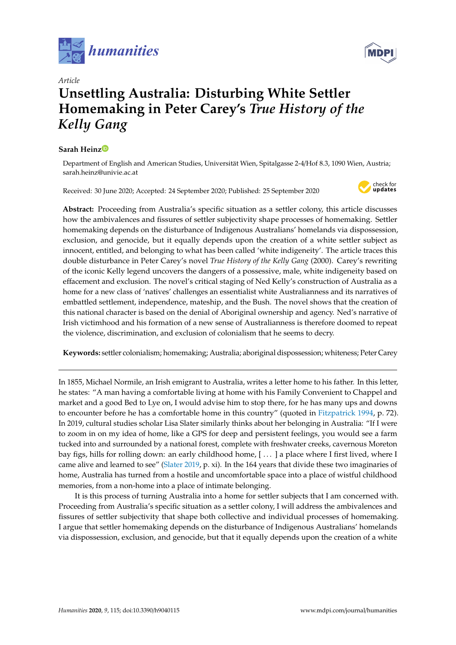



# *Article* **Unsettling Australia: Disturbing White Settler Homemaking in Peter Carey's** *True History of the Kelly Gang*

## **Sarah Hein[z](https://orcid.org/0000-0002-0390-1651)**

Department of English and American Studies, Universität Wien, Spitalgasse 2-4/Hof 8.3, 1090 Wien, Austria; sarah.heinz@univie.ac.at

Received: 30 June 2020; Accepted: 24 September 2020; Published: 25 September 2020



**Abstract:** Proceeding from Australia's specific situation as a settler colony, this article discusses how the ambivalences and fissures of settler subjectivity shape processes of homemaking. Settler homemaking depends on the disturbance of Indigenous Australians' homelands via dispossession, exclusion, and genocide, but it equally depends upon the creation of a white settler subject as innocent, entitled, and belonging to what has been called 'white indigeneity'. The article traces this double disturbance in Peter Carey's novel *True History of the Kelly Gang* (2000). Carey's rewriting of the iconic Kelly legend uncovers the dangers of a possessive, male, white indigeneity based on effacement and exclusion. The novel's critical staging of Ned Kelly's construction of Australia as a home for a new class of 'natives' challenges an essentialist white Australianness and its narratives of embattled settlement, independence, mateship, and the Bush. The novel shows that the creation of this national character is based on the denial of Aboriginal ownership and agency. Ned's narrative of Irish victimhood and his formation of a new sense of Australianness is therefore doomed to repeat the violence, discrimination, and exclusion of colonialism that he seems to decry.

**Keywords:** settler colonialism; homemaking; Australia; aboriginal dispossession; whiteness; Peter Carey

In 1855, Michael Normile, an Irish emigrant to Australia, writes a letter home to his father. In this letter, he states: "A man having a comfortable living at home with his Family Convenient to Chappel and market and a good Bed to Lye on, I would advise him to stop there, for he has many ups and downs to encounter before he has a comfortable home in this country" (quoted in [Fitzpatrick](#page-9-0) [1994,](#page-9-0) p. 72). In 2019, cultural studies scholar Lisa Slater similarly thinks about her belonging in Australia: "If I were to zoom in on my idea of home, like a GPS for deep and persistent feelings, you would see a farm tucked into and surrounded by a national forest, complete with freshwater creeks, cavernous Moreton bay figs, hills for rolling down: an early childhood home, [ . . . ] a place where I first lived, where I came alive and learned to see" [\(Slater](#page-10-0) [2019,](#page-10-0) p. xi). In the 164 years that divide these two imaginaries of home, Australia has turned from a hostile and uncomfortable space into a place of wistful childhood memories, from a non-home into a place of intimate belonging.

It is this process of turning Australia into a home for settler subjects that I am concerned with. Proceeding from Australia's specific situation as a settler colony, I will address the ambivalences and fissures of settler subjectivity that shape both collective and individual processes of homemaking. I argue that settler homemaking depends on the disturbance of Indigenous Australians' homelands via dispossession, exclusion, and genocide, but that it equally depends upon the creation of a white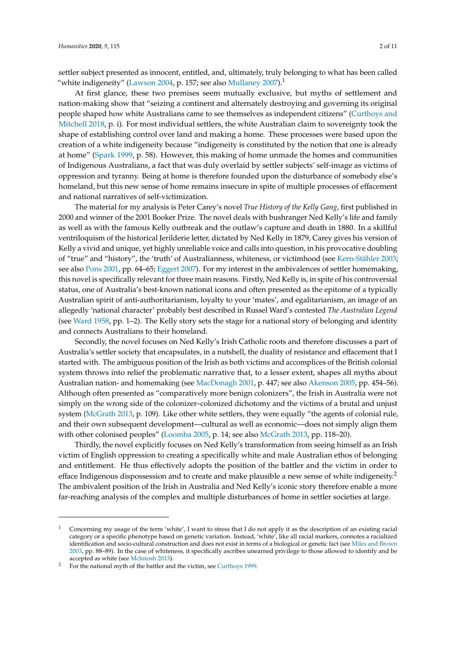settler subject presented as innocent, entitled, and, ultimately, truly belonging to what has been called "white indigeneity" [\(Lawson](#page-9-1) [2004,](#page-9-1) p. 157; see also [Mullaney](#page-10-1) [2007\)](#page-10-1).<sup>1</sup>

At first glance, these two premises seem mutually exclusive, but myths of settlement and nation-making show that "seizing a continent and alternately destroying and governing its original people shaped how white Australians came to see themselves as independent citizens" [\(Curthoys and](#page-9-2) [Mitchell](#page-9-2) [2018,](#page-9-2) p. i). For most individual settlers, the white Australian claim to sovereignty took the shape of establishing control over land and making a home. These processes were based upon the creation of a white indigeneity because "indigeneity is constituted by the notion that one is already at home" [\(Spark](#page-10-2) [1999,](#page-10-2) p. 58). However, this making of home unmade the homes and communities of Indigenous Australians, a fact that was duly overlaid by settler subjects' self-image as victims of oppression and tyranny. Being at home is therefore founded upon the disturbance of somebody else's homeland, but this new sense of home remains insecure in spite of multiple processes of effacement and national narratives of self-victimization.

The material for my analysis is Peter Carey's novel *True History of the Kelly Gang*, first published in 2000 and winner of the 2001 Booker Prize. The novel deals with bushranger Ned Kelly's life and family as well as with the famous Kelly outbreak and the outlaw's capture and death in 1880. In a skillful ventriloquism of the historical Jerilderie letter, dictated by Ned Kelly in 1879, Carey gives his version of Kelly a vivid and unique, yet highly unreliable voice and calls into question, in his provocative doubling of "true" and "history", the 'truth' of Australianness, whiteness, or victimhood (see [Kern-Stähler](#page-9-3) [2003;](#page-9-3) see also [Pons](#page-10-3) [2001,](#page-10-3) pp. 64–65; [Eggert](#page-9-4) [2007\)](#page-9-4). For my interest in the ambivalences of settler homemaking, this novel is specifically relevant for three main reasons. Firstly, Ned Kelly is, in spite of his controversial status, one of Australia's best-known national icons and often presented as the epitome of a typically Australian spirit of anti-authoritarianism, loyalty to your 'mates', and egalitarianism, an image of an allegedly 'national character' probably best described in Russel Ward's contested *The Australian Legend* (see [Ward](#page-10-4) [1958,](#page-10-4) pp. 1–2). The Kelly story sets the stage for a national story of belonging and identity and connects Australians to their homeland.

Secondly, the novel focuses on Ned Kelly's Irish Catholic roots and therefore discusses a part of Australia's settler society that encapsulates, in a nutshell, the duality of resistance and effacement that I started with. The ambiguous position of the Irish as both victims and accomplices of the British colonial system throws into relief the problematic narrative that, to a lesser extent, shapes all myths about Australian nation- and homemaking (see [MacDonagh](#page-9-5) [2001,](#page-9-5) p. 447; see also [Akenson](#page-8-0) [2005,](#page-8-0) pp. 454–56). Although often presented as "comparatively more benign colonizers", the Irish in Australia were not simply on the wrong side of the colonizer–colonized dichotomy and the victims of a brutal and unjust system [\(McGrath](#page-9-6) [2013,](#page-9-6) p. 109). Like other white settlers, they were equally "the agents of colonial rule, and their own subsequent development—cultural as well as economic—does not simply align them with other colonised peoples" [\(Loomba](#page-9-7) [2005,](#page-9-7) p. 14; see also [McGrath](#page-9-6) [2013,](#page-9-6) pp. 118–20).

Thirdly, the novel explicitly focuses on Ned Kelly's transformation from seeing himself as an Irish victim of English oppression to creating a specifically white and male Australian ethos of belonging and entitlement. He thus effectively adopts the position of the battler and the victim in order to efface Indigenous dispossession and to create and make plausible a new sense of white indigeneity.<sup>2</sup> The ambivalent position of the Irish in Australia and Ned Kelly's iconic story therefore enable a more far-reaching analysis of the complex and multiple disturbances of home in settler societies at large.

<sup>1</sup> Concerning my usage of the term 'white', I want to stress that I do not apply it as the description of an existing racial category or a specific phenotype based on genetic variation. Instead, 'white', like all racial markers, connotes a racialized identification and socio-cultural construction and does not exist in terms of a biological or genetic fact (see [Miles and Brown](#page-10-5) [2003,](#page-10-5) pp. 88–89). In the case of whiteness, it specifically ascribes unearned privilege to those allowed to identify and be accepted as white (see [McIntosh](#page-10-6) [2013\)](#page-10-6).

<sup>&</sup>lt;sup>2</sup> For the national myth of the battler and the victim, see [Curthoys](#page-9-8) [1999.](#page-9-8)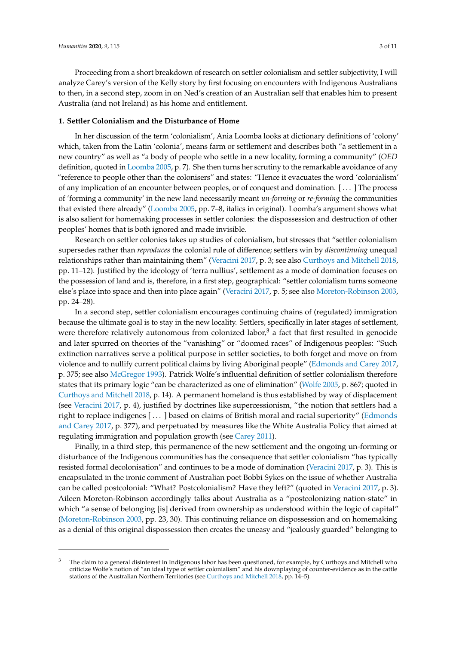Proceeding from a short breakdown of research on settler colonialism and settler subjectivity, I will analyze Carey's version of the Kelly story by first focusing on encounters with Indigenous Australians to then, in a second step, zoom in on Ned's creation of an Australian self that enables him to present Australia (and not Ireland) as his home and entitlement.

#### **1. Settler Colonialism and the Disturbance of Home**

In her discussion of the term 'colonialism', Ania Loomba looks at dictionary definitions of 'colony' which, taken from the Latin 'colonia', means farm or settlement and describes both "a settlement in a new country" as well as "a body of people who settle in a new locality, forming a community" (*OED* definition, quoted in [Loomba](#page-9-7) [2005,](#page-9-7) p. 7). She then turns her scrutiny to the remarkable avoidance of any "reference to people other than the colonisers" and states: "Hence it evacuates the word 'colonialism' of any implication of an encounter between peoples, or of conquest and domination. [ . . . ] The process of 'forming a community' in the new land necessarily meant *un-forming* or *re-forming* the communities that existed there already" [\(Loomba](#page-9-7) [2005,](#page-9-7) pp. 7–8, italics in original). Loomba's argument shows what is also salient for homemaking processes in settler colonies: the dispossession and destruction of other peoples' homes that is both ignored and made invisible.

Research on settler colonies takes up studies of colonialism, but stresses that "settler colonialism supersedes rather than *reproduces* the colonial rule of difference; settlers win by *discontinuing* unequal relationships rather than maintaining them" [\(Veracini](#page-10-7) [2017,](#page-10-7) p. 3; see also [Curthoys and Mitchell](#page-9-2) [2018,](#page-9-2) pp. 11–12). Justified by the ideology of 'terra nullius', settlement as a mode of domination focuses on the possession of land and is, therefore, in a first step, geographical: "settler colonialism turns someone else's place into space and then into place again" [\(Veracini](#page-10-7) [2017,](#page-10-7) p. 5; see also [Moreton-Robinson](#page-10-8) [2003,](#page-10-8) pp. 24–28).

In a second step, settler colonialism encourages continuing chains of (regulated) immigration because the ultimate goal is to stay in the new locality. Settlers, specifically in later stages of settlement, were therefore relatively autonomous from colonized labor, $3$  a fact that first resulted in genocide and later spurred on theories of the "vanishing" or "doomed races" of Indigenous peoples: "Such extinction narratives serve a political purpose in settler societies, to both forget and move on from violence and to nullify current political claims by living Aboriginal people" [\(Edmonds and Carey](#page-9-9) [2017,](#page-9-9) p. 375; see also [McGregor](#page-9-10) [1993\)](#page-9-10). Patrick Wolfe's influential definition of settler colonialism therefore states that its primary logic "can be characterized as one of elimination" [\(Wolfe](#page-10-9) [2005,](#page-10-9) p. 867; quoted in [Curthoys and Mitchell](#page-9-2) [2018,](#page-9-2) p. 14). A permanent homeland is thus established by way of displacement (see [Veracini](#page-10-7) [2017,](#page-10-7) p. 4), justified by doctrines like supercessionism, "the notion that settlers had a right to replace indigenes [ . . . ] based on claims of British moral and racial superiority" [\(Edmonds](#page-9-9) [and Carey](#page-9-9) [2017,](#page-9-9) p. 377), and perpetuated by measures like the White Australia Policy that aimed at regulating immigration and population growth (see [Carey](#page-9-11) [2011\)](#page-9-11).

Finally, in a third step, this permanence of the new settlement and the ongoing un-forming or disturbance of the Indigenous communities has the consequence that settler colonialism "has typically resisted formal decolonisation" and continues to be a mode of domination [\(Veracini](#page-10-7) [2017,](#page-10-7) p. 3). This is encapsulated in the ironic comment of Australian poet Bobbi Sykes on the issue of whether Australia can be called postcolonial: "What? Postcolonialism? Have they left?" (quoted in [Veracini](#page-10-7) [2017,](#page-10-7) p. 3). Aileen Moreton-Robinson accordingly talks about Australia as a "postcolonizing nation-state" in which "a sense of belonging [is] derived from ownership as understood within the logic of capital" [\(Moreton-Robinson](#page-10-8) [2003,](#page-10-8) pp. 23, 30). This continuing reliance on dispossession and on homemaking as a denial of this original dispossession then creates the uneasy and "jealously guarded" belonging to

 $3$  The claim to a general disinterest in Indigenous labor has been questioned, for example, by Curthoys and Mitchell who criticize Wolfe's notion of "an ideal type of settler colonialism" and his downplaying of counter-evidence as in the cattle stations of the Australian Northern Territories (see [Curthoys and Mitchell](#page-9-2) [2018,](#page-9-2) pp. 14–5).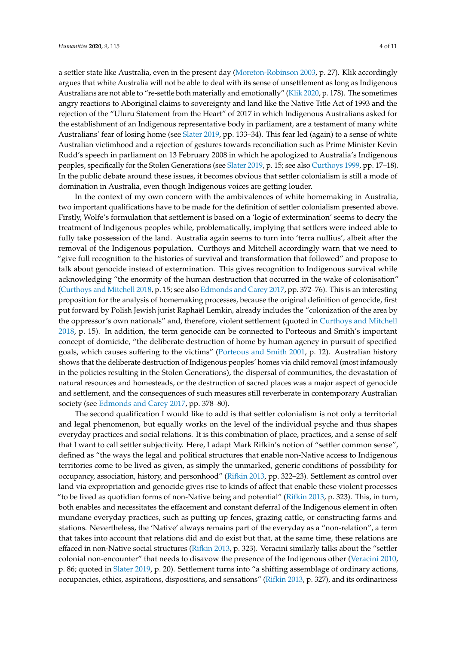a settler state like Australia, even in the present day [\(Moreton-Robinson](#page-10-8) [2003,](#page-10-8) p. 27). Klik accordingly argues that white Australia will not be able to deal with its sense of unsettlement as long as Indigenous Australians are not able to "re-settle both materially and emotionally" [\(Klik](#page-9-12) [2020,](#page-9-12) p. 178). The sometimes angry reactions to Aboriginal claims to sovereignty and land like the Native Title Act of 1993 and the rejection of the "Uluru Statement from the Heart" of 2017 in which Indigenous Australians asked for the establishment of an Indigenous representative body in parliament, are a testament of many white Australians' fear of losing home (see [Slater](#page-10-0) [2019,](#page-10-0) pp. 133–34). This fear led (again) to a sense of white Australian victimhood and a rejection of gestures towards reconciliation such as Prime Minister Kevin Rudd's speech in parliament on 13 February 2008 in which he apologized to Australia's Indigenous peoples, specifically for the Stolen Generations (see [Slater](#page-10-0) [2019,](#page-10-0) p. 15; see also [Curthoys](#page-9-8) [1999,](#page-9-8) pp. 17–18). In the public debate around these issues, it becomes obvious that settler colonialism is still a mode of domination in Australia, even though Indigenous voices are getting louder.

In the context of my own concern with the ambivalences of white homemaking in Australia, two important qualifications have to be made for the definition of settler colonialism presented above. Firstly, Wolfe's formulation that settlement is based on a 'logic of extermination' seems to decry the treatment of Indigenous peoples while, problematically, implying that settlers were indeed able to fully take possession of the land. Australia again seems to turn into 'terra nullius', albeit after the removal of the Indigenous population. Curthoys and Mitchell accordingly warn that we need to "give full recognition to the histories of survival and transformation that followed" and propose to talk about genocide instead of extermination. This gives recognition to Indigenous survival while acknowledging "the enormity of the human destruction that occurred in the wake of colonisation" [\(Curthoys and Mitchell](#page-9-2) [2018,](#page-9-2) p. 15; see also [Edmonds and Carey](#page-9-9) [2017,](#page-9-9) pp. 372–76). This is an interesting proposition for the analysis of homemaking processes, because the original definition of genocide, first put forward by Polish Jewish jurist Raphaël Lemkin, already includes the "colonization of the area by the oppressor's own nationals" and, therefore, violent settlement (quoted in [Curthoys and Mitchell](#page-9-2) [2018,](#page-9-2) p. 15). In addition, the term genocide can be connected to Porteous and Smith's important concept of domicide, "the deliberate destruction of home by human agency in pursuit of specified goals, which causes suffering to the victims" [\(Porteous and Smith](#page-10-10) [2001,](#page-10-10) p. 12). Australian history shows that the deliberate destruction of Indigenous peoples' homes via child removal (most infamously in the policies resulting in the Stolen Generations), the dispersal of communities, the devastation of natural resources and homesteads, or the destruction of sacred places was a major aspect of genocide and settlement, and the consequences of such measures still reverberate in contemporary Australian society (see [Edmonds and Carey](#page-9-9) [2017,](#page-9-9) pp. 378–80).

The second qualification I would like to add is that settler colonialism is not only a territorial and legal phenomenon, but equally works on the level of the individual psyche and thus shapes everyday practices and social relations. It is this combination of place, practices, and a sense of self that I want to call settler subjectivity. Here, I adapt Mark Rifkin's notion of "settler common sense", defined as "the ways the legal and political structures that enable non-Native access to Indigenous territories come to be lived as given, as simply the unmarked, generic conditions of possibility for occupancy, association, history, and personhood" [\(Rifkin](#page-10-11) [2013,](#page-10-11) pp. 322–23). Settlement as control over land via expropriation and genocide gives rise to kinds of affect that enable these violent processes "to be lived as quotidian forms of non-Native being and potential" [\(Rifkin](#page-10-11) [2013,](#page-10-11) p. 323). This, in turn, both enables and necessitates the effacement and constant deferral of the Indigenous element in often mundane everyday practices, such as putting up fences, grazing cattle, or constructing farms and stations. Nevertheless, the 'Native' always remains part of the everyday as a "non-relation", a term that takes into account that relations did and do exist but that, at the same time, these relations are effaced in non-Native social structures [\(Rifkin](#page-10-11) [2013,](#page-10-11) p. 323). Veracini similarly talks about the "settler colonial non-encounter" that needs to disavow the presence of the Indigenous other [\(Veracini](#page-10-12) [2010,](#page-10-12) p. 86; quoted in [Slater](#page-10-0) [2019,](#page-10-0) p. 20). Settlement turns into "a shifting assemblage of ordinary actions, occupancies, ethics, aspirations, dispositions, and sensations" [\(Rifkin](#page-10-11) [2013,](#page-10-11) p. 327), and its ordinariness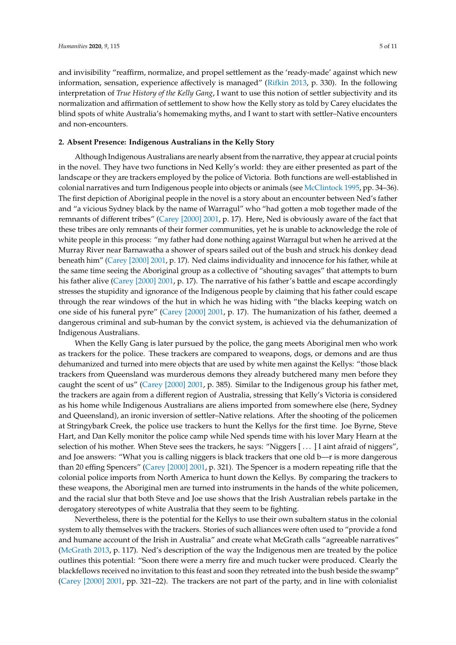and invisibility "reaffirm, normalize, and propel settlement as the 'ready-made' against which new information, sensation, experience affectively is managed" [\(Rifkin](#page-10-11) [2013,](#page-10-11) p. 330). In the following interpretation of *True History of the Kelly Gang*, I want to use this notion of settler subjectivity and its normalization and affirmation of settlement to show how the Kelly story as told by Carey elucidates the blind spots of white Australia's homemaking myths, and I want to start with settler–Native encounters and non-encounters.

#### **2. Absent Presence: Indigenous Australians in the Kelly Story**

Although Indigenous Australians are nearly absent from the narrative, they appear at crucial points in the novel. They have two functions in Ned Kelly's world: they are either presented as part of the landscape or they are trackers employed by the police of Victoria. Both functions are well-established in colonial narratives and turn Indigenous people into objects or animals (see [McClintock](#page-9-13) [1995,](#page-9-13) pp. 34–36). The first depiction of Aboriginal people in the novel is a story about an encounter between Ned's father and "a vicious Sydney black by the name of Warragul" who "had gotten a mob together made of the remnants of different tribes" [\(Carey](#page-9-14) [2000] [2001,](#page-9-14) p. 17). Here, Ned is obviously aware of the fact that these tribes are only remnants of their former communities, yet he is unable to acknowledge the role of white people in this process: "my father had done nothing against Warragul but when he arrived at the Murray River near Barnawatha a shower of spears sailed out of the bush and struck his donkey dead beneath him" (Carey [\[2000\]](#page-9-14) [2001,](#page-9-14) p. 17). Ned claims individuality and innocence for his father, while at the same time seeing the Aboriginal group as a collective of "shouting savages" that attempts to burn his father alive [\(Carey](#page-9-14) [2000] [2001,](#page-9-14) p. 17). The narrative of his father's battle and escape accordingly stresses the stupidity and ignorance of the Indigenous people by claiming that his father could escape through the rear windows of the hut in which he was hiding with "the blacks keeping watch on one side of his funeral pyre" [\(Carey](#page-9-14) [2000] [2001,](#page-9-14) p. 17). The humanization of his father, deemed a dangerous criminal and sub-human by the convict system, is achieved via the dehumanization of Indigenous Australians.

When the Kelly Gang is later pursued by the police, the gang meets Aboriginal men who work as trackers for the police. These trackers are compared to weapons, dogs, or demons and are thus dehumanized and turned into mere objects that are used by white men against the Kellys: "those black trackers from Queensland was murderous demons they already butchered many men before they caught the scent of us" [\(Carey](#page-9-14) [2000] [2001,](#page-9-14) p. 385). Similar to the Indigenous group his father met, the trackers are again from a different region of Australia, stressing that Kelly's Victoria is considered as his home while Indigenous Australians are aliens imported from somewhere else (here, Sydney and Queensland), an ironic inversion of settler–Native relations. After the shooting of the policemen at Stringybark Creek, the police use trackers to hunt the Kellys for the first time. Joe Byrne, Steve Hart, and Dan Kelly monitor the police camp while Ned spends time with his lover Mary Hearn at the selection of his mother. When Steve sees the trackers, he says: "Niggers [ . . . ] I aint afraid of niggers", and Joe answers: "What you is calling niggers is black trackers that one old b—r is more dangerous than 20 effing Spencers" [\(Carey](#page-9-14) [2000] [2001,](#page-9-14) p. 321). The Spencer is a modern repeating rifle that the colonial police imports from North America to hunt down the Kellys. By comparing the trackers to these weapons, the Aboriginal men are turned into instruments in the hands of the white policemen, and the racial slur that both Steve and Joe use shows that the Irish Australian rebels partake in the derogatory stereotypes of white Australia that they seem to be fighting.

Nevertheless, there is the potential for the Kellys to use their own subaltern status in the colonial system to ally themselves with the trackers. Stories of such alliances were often used to "provide a fond and humane account of the Irish in Australia" and create what McGrath calls "agreeable narratives" [\(McGrath](#page-9-6) [2013,](#page-9-6) p. 117). Ned's description of the way the Indigenous men are treated by the police outlines this potential: "Soon there were a merry fire and much tucker were produced. Clearly the blackfellows received no invitation to this feast and soon they retreated into the bush beside the swamp" [\(Carey](#page-9-14) [2000] [2001,](#page-9-14) pp. 321–22). The trackers are not part of the party, and in line with colonialist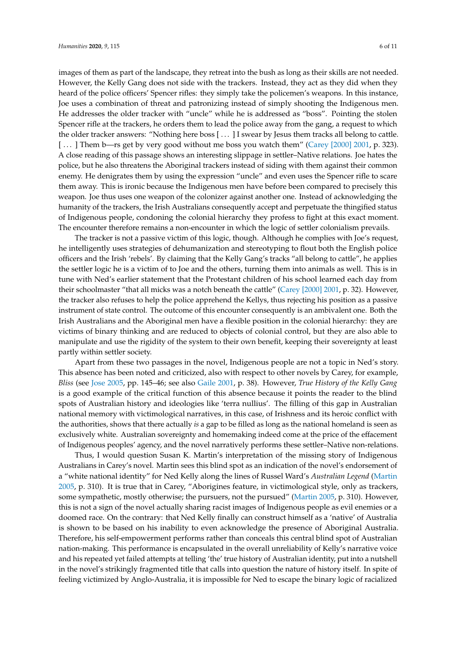images of them as part of the landscape, they retreat into the bush as long as their skills are not needed. However, the Kelly Gang does not side with the trackers. Instead, they act as they did when they heard of the police officers' Spencer rifles: they simply take the policemen's weapons. In this instance, Joe uses a combination of threat and patronizing instead of simply shooting the Indigenous men. He addresses the older tracker with "uncle" while he is addressed as "boss". Pointing the stolen Spencer rifle at the trackers, he orders them to lead the police away from the gang, a request to which the older tracker answers: "Nothing here boss [ . . . ] I swear by Jesus them tracks all belong to cattle. [...] Them b—rs get by very good without me boss you watch them" [\(Carey](#page-9-14) [2000] [2001,](#page-9-14) p. 323). A close reading of this passage shows an interesting slippage in settler–Native relations. Joe hates the police, but he also threatens the Aboriginal trackers instead of siding with them against their common enemy. He denigrates them by using the expression "uncle" and even uses the Spencer rifle to scare them away. This is ironic because the Indigenous men have before been compared to precisely this weapon. Joe thus uses one weapon of the colonizer against another one. Instead of acknowledging the humanity of the trackers, the Irish Australians consequently accept and perpetuate the thingified status of Indigenous people, condoning the colonial hierarchy they profess to fight at this exact moment. The encounter therefore remains a non-encounter in which the logic of settler colonialism prevails.

The tracker is not a passive victim of this logic, though. Although he complies with Joe's request, he intelligently uses strategies of dehumanization and stereotyping to flout both the English police officers and the Irish 'rebels'. By claiming that the Kelly Gang's tracks "all belong to cattle", he applies the settler logic he is a victim of to Joe and the others, turning them into animals as well. This is in tune with Ned's earlier statement that the Protestant children of his school learned each day from their schoolmaster "that all micks was a notch beneath the cattle" [\(Carey](#page-9-14) [2000] [2001,](#page-9-14) p. 32). However, the tracker also refuses to help the police apprehend the Kellys, thus rejecting his position as a passive instrument of state control. The outcome of this encounter consequently is an ambivalent one. Both the Irish Australians and the Aboriginal men have a flexible position in the colonial hierarchy: they are victims of binary thinking and are reduced to objects of colonial control, but they are also able to manipulate and use the rigidity of the system to their own benefit, keeping their sovereignty at least partly within settler society.

Apart from these two passages in the novel, Indigenous people are not a topic in Ned's story. This absence has been noted and criticized, also with respect to other novels by Carey, for example, *Bliss* (see [Jose](#page-9-15) [2005,](#page-9-15) pp. 145–46; see also [Gaile](#page-9-16) [2001,](#page-9-16) p. 38). However, *True History of the Kelly Gang* is a good example of the critical function of this absence because it points the reader to the blind spots of Australian history and ideologies like 'terra nullius'. The filling of this gap in Australian national memory with victimological narratives, in this case, of Irishness and its heroic conflict with the authorities, shows that there actually *is* a gap to be filled as long as the national homeland is seen as exclusively white. Australian sovereignty and homemaking indeed come at the price of the effacement of Indigenous peoples' agency, and the novel narratively performs these settler–Native non-relations.

Thus, I would question Susan K. Martin's interpretation of the missing story of Indigenous Australians in Carey's novel. Martin sees this blind spot as an indication of the novel's endorsement of a "white national identity" for Ned Kelly along the lines of Russel Ward's *Australian Legend* [\(Martin](#page-9-17) [2005,](#page-9-17) p. 310). It is true that in Carey, "Aborigines feature, in victimological style, only as trackers, some sympathetic, mostly otherwise; the pursuers, not the pursued" [\(Martin](#page-9-17) [2005,](#page-9-17) p. 310). However, this is not a sign of the novel actually sharing racist images of Indigenous people as evil enemies or a doomed race. On the contrary: that Ned Kelly finally can construct himself as a 'native' of Australia is shown to be based on his inability to even acknowledge the presence of Aboriginal Australia. Therefore, his self-empowerment performs rather than conceals this central blind spot of Australian nation-making. This performance is encapsulated in the overall unreliability of Kelly's narrative voice and his repeated yet failed attempts at telling 'the' true history of Australian identity, put into a nutshell in the novel's strikingly fragmented title that calls into question the nature of history itself. In spite of feeling victimized by Anglo-Australia, it is impossible for Ned to escape the binary logic of racialized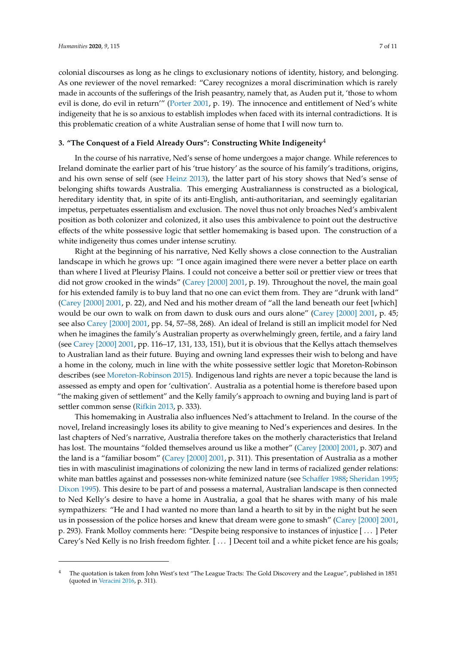colonial discourses as long as he clings to exclusionary notions of identity, history, and belonging. As one reviewer of the novel remarked: "Carey recognizes a moral discrimination which is rarely made in accounts of the sufferings of the Irish peasantry, namely that, as Auden put it, 'those to whom evil is done, do evil in return'" [\(Porter](#page-10-13) [2001,](#page-10-13) p. 19). The innocence and entitlement of Ned's white indigeneity that he is so anxious to establish implodes when faced with its internal contradictions. It is this problematic creation of a white Australian sense of home that I will now turn to.

## **3. "The Conquest of a Field Already Ours": Constructing White Indigeneity**<sup>4</sup>

In the course of his narrative, Ned's sense of home undergoes a major change. While references to Ireland dominate the earlier part of his 'true history' as the source of his family's traditions, origins, and his own sense of self (see [Heinz](#page-9-18) [2013\)](#page-9-18), the latter part of his story shows that Ned's sense of belonging shifts towards Australia. This emerging Australianness is constructed as a biological, hereditary identity that, in spite of its anti-English, anti-authoritarian, and seemingly egalitarian impetus, perpetuates essentialism and exclusion. The novel thus not only broaches Ned's ambivalent position as both colonizer and colonized, it also uses this ambivalence to point out the destructive effects of the white possessive logic that settler homemaking is based upon. The construction of a white indigeneity thus comes under intense scrutiny.

Right at the beginning of his narrative, Ned Kelly shows a close connection to the Australian landscape in which he grows up: "I once again imagined there were never a better place on earth than where I lived at Pleurisy Plains. I could not conceive a better soil or prettier view or trees that did not grow crooked in the winds" [\(Carey](#page-9-14) [2000] [2001,](#page-9-14) p. 19). Throughout the novel, the main goal for his extended family is to buy land that no one can evict them from. They are "drunk with land" [\(Carey](#page-9-14) [2000] [2001,](#page-9-14) p. 22), and Ned and his mother dream of "all the land beneath our feet [which] would be our own to walk on from dawn to dusk ours and ours alone" [\(Carey](#page-9-14) [2000] [2001,](#page-9-14) p. 45; see also Carey [\[2000\]](#page-9-14) [2001,](#page-9-14) pp. 54, 57–58, 268). An ideal of Ireland is still an implicit model for Ned when he imagines the family's Australian property as overwhelmingly green, fertile, and a fairy land (see Carey [\[2000\]](#page-9-14) [2001,](#page-9-14) pp. 116–17, 131, 133, 151), but it is obvious that the Kellys attach themselves to Australian land as their future. Buying and owning land expresses their wish to belong and have a home in the colony, much in line with the white possessive settler logic that Moreton-Robinson describes (see [Moreton-Robinson](#page-10-14) [2015\)](#page-10-14). Indigenous land rights are never a topic because the land is assessed as empty and open for 'cultivation'. Australia as a potential home is therefore based upon "the making given of settlement" and the Kelly family's approach to owning and buying land is part of settler common sense [\(Rifkin](#page-10-11) [2013,](#page-10-11) p. 333).

This homemaking in Australia also influences Ned's attachment to Ireland. In the course of the novel, Ireland increasingly loses its ability to give meaning to Ned's experiences and desires. In the last chapters of Ned's narrative, Australia therefore takes on the motherly characteristics that Ireland has lost. The mountains "folded themselves around us like a mother" [\(Carey](#page-9-14) [2000] [2001,](#page-9-14) p. 307) and the land is a "familiar bosom" [\(Carey](#page-9-14) [2000] [2001,](#page-9-14) p. 311). This presentation of Australia as a mother ties in with masculinist imaginations of colonizing the new land in terms of racialized gender relations: white man battles against and possesses non-white feminized nature (see [Scha](#page-10-15)ffer [1988;](#page-10-15) [Sheridan](#page-10-16) [1995;](#page-10-16) [Dixon](#page-9-19) [1995\)](#page-9-19). This desire to be part of and possess a maternal, Australian landscape is then connected to Ned Kelly's desire to have a home in Australia, a goal that he shares with many of his male sympathizers: "He and I had wanted no more than land a hearth to sit by in the night but he seen us in possession of the police horses and knew that dream were gone to smash" [\(Carey](#page-9-14) [2000] [2001,](#page-9-14) p. 293). Frank Molloy comments here: "Despite being responsive to instances of injustice [ . . . ] Peter Carey's Ned Kelly is no Irish freedom fighter. [...] Decent toil and a white picket fence are his goals;

<sup>&</sup>lt;sup>4</sup> The quotation is taken from John West's text "The League Tracts: The Gold Discovery and the League", published in 1851 (quoted in [Veracini](#page-10-17) [2016,](#page-10-17) p. 311).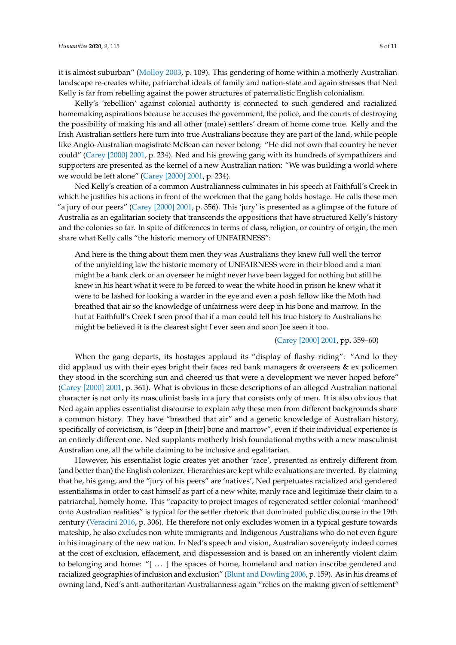it is almost suburban" [\(Molloy](#page-10-18) [2003,](#page-10-18) p. 109). This gendering of home within a motherly Australian landscape re-creates white, patriarchal ideals of family and nation-state and again stresses that Ned Kelly is far from rebelling against the power structures of paternalistic English colonialism.

Kelly's 'rebellion' against colonial authority is connected to such gendered and racialized homemaking aspirations because he accuses the government, the police, and the courts of destroying the possibility of making his and all other (male) settlers' dream of home come true. Kelly and the Irish Australian settlers here turn into true Australians because they are part of the land, while people like Anglo-Australian magistrate McBean can never belong: "He did not own that country he never could" [\(Carey](#page-9-14) [2000] [2001,](#page-9-14) p. 234). Ned and his growing gang with its hundreds of sympathizers and supporters are presented as the kernel of a new Australian nation: "We was building a world where we would be left alone" [\(Carey \[2000\]](#page-9-14) [2001,](#page-9-14) p. 234).

Ned Kelly's creation of a common Australianness culminates in his speech at Faithfull's Creek in which he justifies his actions in front of the workmen that the gang holds hostage. He calls these men "a jury of our peers" [\(Carey](#page-9-14) [2000] [2001,](#page-9-14) p. 356). This 'jury' is presented as a glimpse of the future of Australia as an egalitarian society that transcends the oppositions that have structured Kelly's history and the colonies so far. In spite of differences in terms of class, religion, or country of origin, the men share what Kelly calls "the historic memory of UNFAIRNESS":

And here is the thing about them men they was Australians they knew full well the terror of the unyielding law the historic memory of UNFAIRNESS were in their blood and a man might be a bank clerk or an overseer he might never have been lagged for nothing but still he knew in his heart what it were to be forced to wear the white hood in prison he knew what it were to be lashed for looking a warder in the eye and even a posh fellow like the Moth had breathed that air so the knowledge of unfairness were deep in his bone and marrow. In the hut at Faithfull's Creek I seen proof that if a man could tell his true history to Australians he might be believed it is the clearest sight I ever seen and soon Joe seen it too.

[\(Carey \[2000\]](#page-9-14) [2001,](#page-9-14) pp. 359–60)

When the gang departs, its hostages applaud its "display of flashy riding": "And lo they did applaud us with their eyes bright their faces red bank managers & overseers & ex policemen they stood in the scorching sun and cheered us that were a development we never hoped before" [\(Carey](#page-9-14) [2000] [2001,](#page-9-14) p. 361). What is obvious in these descriptions of an alleged Australian national character is not only its masculinist basis in a jury that consists only of men. It is also obvious that Ned again applies essentialist discourse to explain *why* these men from different backgrounds share a common history. They have "breathed that air" and a genetic knowledge of Australian history, specifically of convictism, is "deep in [their] bone and marrow", even if their individual experience is an entirely different one. Ned supplants motherly Irish foundational myths with a new masculinist Australian one, all the while claiming to be inclusive and egalitarian.

However, his essentialist logic creates yet another 'race', presented as entirely different from (and better than) the English colonizer. Hierarchies are kept while evaluations are inverted. By claiming that he, his gang, and the "jury of his peers" are 'natives', Ned perpetuates racialized and gendered essentialisms in order to cast himself as part of a new white, manly race and legitimize their claim to a patriarchal, homely home. This "capacity to project images of regenerated settler colonial 'manhood' onto Australian realities" is typical for the settler rhetoric that dominated public discourse in the 19th century [\(Veracini](#page-10-17) [2016,](#page-10-17) p. 306). He therefore not only excludes women in a typical gesture towards mateship, he also excludes non-white immigrants and Indigenous Australians who do not even figure in his imaginary of the new nation. In Ned's speech and vision, Australian sovereignty indeed comes at the cost of exclusion, effacement, and dispossession and is based on an inherently violent claim to belonging and home: "[ . . . ] the spaces of home, homeland and nation inscribe gendered and racialized geographies of inclusion and exclusion" [\(Blunt and Dowling](#page-8-1) [2006,](#page-8-1) p. 159). As in his dreams of owning land, Ned's anti-authoritarian Australianness again "relies on the making given of settlement"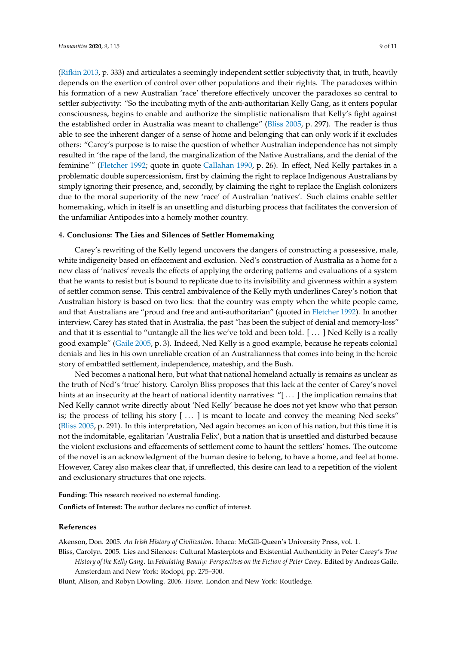[\(Rifkin](#page-10-11) [2013,](#page-10-11) p. 333) and articulates a seemingly independent settler subjectivity that, in truth, heavily depends on the exertion of control over other populations and their rights. The paradoxes within his formation of a new Australian 'race' therefore effectively uncover the paradoxes so central to settler subjectivity: "So the incubating myth of the anti-authoritarian Kelly Gang, as it enters popular consciousness, begins to enable and authorize the simplistic nationalism that Kelly's fight against the established order in Australia was meant to challenge" [\(Bliss](#page-8-2) [2005,](#page-8-2) p. 297). The reader is thus able to see the inherent danger of a sense of home and belonging that can only work if it excludes others: "Carey's purpose is to raise the question of whether Australian independence has not simply resulted in 'the rape of the land, the marginalization of the Native Australians, and the denial of the feminine'" [\(Fletcher](#page-9-20) [1992;](#page-9-20) quote in quote [Callahan](#page-9-21) [1990,](#page-9-21) p. 26). In effect, Ned Kelly partakes in a problematic double supercessionism, first by claiming the right to replace Indigenous Australians by simply ignoring their presence, and, secondly, by claiming the right to replace the English colonizers due to the moral superiority of the new 'race' of Australian 'natives'. Such claims enable settler homemaking, which in itself is an unsettling and disturbing process that facilitates the conversion of the unfamiliar Antipodes into a homely mother country.

#### **4. Conclusions: The Lies and Silences of Settler Homemaking**

Carey's rewriting of the Kelly legend uncovers the dangers of constructing a possessive, male, white indigeneity based on effacement and exclusion. Ned's construction of Australia as a home for a new class of 'natives' reveals the effects of applying the ordering patterns and evaluations of a system that he wants to resist but is bound to replicate due to its invisibility and givenness within a system of settler common sense. This central ambivalence of the Kelly myth underlines Carey's notion that Australian history is based on two lies: that the country was empty when the white people came, and that Australians are "proud and free and anti-authoritarian" (quoted in [Fletcher](#page-9-20) [1992\)](#page-9-20). In another interview, Carey has stated that in Australia, the past "has been the subject of denial and memory-loss" and that it is essential to "untangle all the lies we've told and been told. [...] Ned Kelly is a really good example" [\(Gaile](#page-9-22) [2005,](#page-9-22) p. 3). Indeed, Ned Kelly is a good example, because he repeats colonial denials and lies in his own unreliable creation of an Australianness that comes into being in the heroic story of embattled settlement, independence, mateship, and the Bush.

Ned becomes a national hero, but what that national homeland actually is remains as unclear as the truth of Ned's 'true' history. Carolyn Bliss proposes that this lack at the center of Carey's novel hints at an insecurity at the heart of national identity narratives: "[...] the implication remains that Ned Kelly cannot write directly about 'Ned Kelly' because he does not yet know who that person is; the process of telling his story  $[ \dots ]$  is meant to locate and convey the meaning Ned seeks" [\(Bliss](#page-8-2) [2005,](#page-8-2) p. 291). In this interpretation, Ned again becomes an icon of his nation, but this time it is not the indomitable, egalitarian 'Australia Felix', but a nation that is unsettled and disturbed because the violent exclusions and effacements of settlement come to haunt the settlers' homes. The outcome of the novel is an acknowledgment of the human desire to belong, to have a home, and feel at home. However, Carey also makes clear that, if unreflected, this desire can lead to a repetition of the violent and exclusionary structures that one rejects.

**Funding:** This research received no external funding.

**Conflicts of Interest:** The author declares no conflict of interest.

### **References**

<span id="page-8-0"></span>Akenson, Don. 2005. *An Irish History of Civilization*. Ithaca: McGill-Queen's University Press, vol. 1.

<span id="page-8-2"></span>Bliss, Carolyn. 2005. Lies and Silences: Cultural Masterplots and Existential Authenticity in Peter Carey's *True History of the Kelly Gang*. In *Fabulating Beauty: Perspectives on the Fiction of Peter Carey*. Edited by Andreas Gaile. Amsterdam and New York: Rodopi, pp. 275–300.

<span id="page-8-1"></span>Blunt, Alison, and Robyn Dowling. 2006. *Home*. London and New York: Routledge.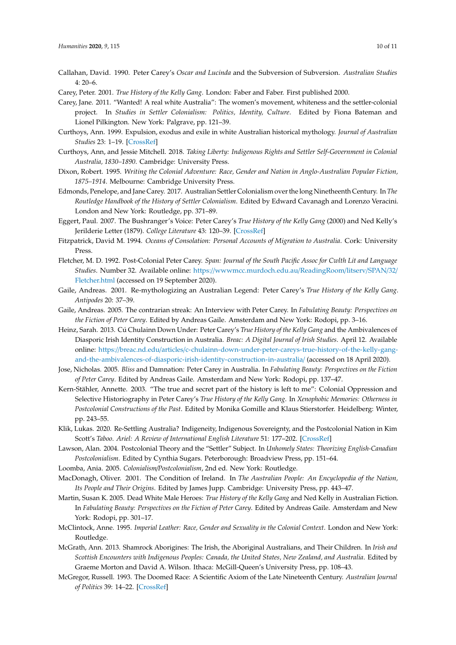- <span id="page-9-21"></span>Callahan, David. 1990. Peter Carey's *Oscar and Lucinda* and the Subversion of Subversion. *Australian Studies*  $4:20-6.$
- <span id="page-9-14"></span>Carey, Peter. 2001. *True History of the Kelly Gang*. London: Faber and Faber. First published 2000.
- <span id="page-9-11"></span>Carey, Jane. 2011. "Wanted! A real white Australia": The women's movement, whiteness and the settler-colonial project. In *Studies in Settler Colonialism: Politics, Identity, Culture*. Edited by Fiona Bateman and Lionel Pilkington. New York: Palgrave, pp. 121–39.
- <span id="page-9-8"></span>Curthoys, Ann. 1999. Expulsion, exodus and exile in white Australian historical mythology. *Journal of Australian Studies* 23: 1–19. [\[CrossRef\]](http://dx.doi.org/10.1080/14443059909387469)
- <span id="page-9-2"></span>Curthoys, Ann, and Jessie Mitchell. 2018. *Taking Liberty: Indigenous Rights and Settler Self-Government in Colonial Australia, 1830–1890*. Cambridge: University Press.
- <span id="page-9-19"></span>Dixon, Robert. 1995. *Writing the Colonial Adventure: Race, Gender and Nation in Anglo-Australian Popular Fiction, 1875–1914*. Melbourne: Cambridge University Press.
- <span id="page-9-9"></span>Edmonds, Penelope, and Jane Carey. 2017. Australian Settler Colonialism over the long Ninetheenth Century. In *The Routledge Handbook of the History of Settler Colonialism*. Edited by Edward Cavanagh and Lorenzo Veracini. London and New York: Routledge, pp. 371–89.
- <span id="page-9-4"></span>Eggert, Paul. 2007. The Bushranger's Voice: Peter Carey's *True History of the Kelly Gang* (2000) and Ned Kelly's Jerilderie Letter (1879). *College Literature* 43: 120–39. [\[CrossRef\]](http://dx.doi.org/10.1353/lit.2007.0030)
- <span id="page-9-0"></span>Fitzpatrick, David M. 1994. *Oceans of Consolation: Personal Accounts of Migration to Australia*. Cork: University Press.
- <span id="page-9-20"></span>Fletcher, M. D. 1992. Post-Colonial Peter Carey. *Span: Journal of the South Pacific Assoc for Cwlth Lit and Language Studies*. Number 32. Available online: https://[wwwmcc.murdoch.edu.au](https://wwwmcc.murdoch.edu.au/ReadingRoom/litserv/SPAN/32/Fletcher.html)/ReadingRoom/litserv/SPAN/32/ [Fletcher.html](https://wwwmcc.murdoch.edu.au/ReadingRoom/litserv/SPAN/32/Fletcher.html) (accessed on 19 September 2020).
- <span id="page-9-16"></span>Gaile, Andreas. 2001. Re-mythologizing an Australian Legend: Peter Carey's *True History of the Kelly Gang*. *Antipodes* 20: 37–39.
- <span id="page-9-22"></span>Gaile, Andreas. 2005. The contrarian streak: An Interview with Peter Carey. In *Fabulating Beauty: Perspectives on the Fiction of Peter Carey*. Edited by Andreas Gaile. Amsterdam and New York: Rodopi, pp. 3–16.
- <span id="page-9-18"></span>Heinz, Sarah. 2013. Cú Chulainn Down Under: Peter Carey's *True History of the Kelly Gang* and the Ambivalences of Diasporic Irish Identity Construction in Australia. *Breac: A Digital Journal of Irish Studies*. April 12. Available online: https://breac.nd.edu/articles/[c-chulainn-down-under-peter-careys-true-history-of-the-kelly-gang](https://breac.nd.edu/articles/c-chulainn-down-under-peter-careys-true-history-of-the-kelly-gang-and-the-ambivalences-of-diasporic-irish-identity-construction-in-australia/)[and-the-ambivalences-of-diasporic-irish-identity-construction-in-australia](https://breac.nd.edu/articles/c-chulainn-down-under-peter-careys-true-history-of-the-kelly-gang-and-the-ambivalences-of-diasporic-irish-identity-construction-in-australia/)/ (accessed on 18 April 2020).
- <span id="page-9-15"></span>Jose, Nicholas. 2005. *Bliss* and Damnation: Peter Carey in Australia. In *Fabulating Beauty: Perspectives on the Fiction of Peter Carey*. Edited by Andreas Gaile. Amsterdam and New York: Rodopi, pp. 137–47.
- <span id="page-9-3"></span>Kern-Stähler, Annette. 2003. "The true and secret part of the history is left to me": Colonial Oppression and Selective Historiography in Peter Carey's *True History of the Kelly Gang*. In *Xenophobic Memories: Otherness in Postcolonial Constructions of the Past*. Edited by Monika Gomille and Klaus Stierstorfer. Heidelberg: Winter, pp. 243–55.
- <span id="page-9-12"></span>Klik, Lukas. 2020. Re-Settling Australia? Indigeneity, Indigenous Sovereignty, and the Postcolonial Nation in Kim Scott's *Taboo*. *Ariel: A Review of International English Literature* 51: 177–202. [\[CrossRef\]](http://dx.doi.org/10.1353/ari.2020.0013)
- <span id="page-9-1"></span>Lawson, Alan. 2004. Postcolonial Theory and the "Settler" Subject. In *Unhomely States: Theorizing English-Canadian Postcolonialism*. Edited by Cynthia Sugars. Peterborough: Broadview Press, pp. 151–64.
- <span id="page-9-7"></span>Loomba, Ania. 2005. *Colonialism*/*Postcolonialism*, 2nd ed. New York: Routledge.
- <span id="page-9-5"></span>MacDonagh, Oliver. 2001. The Condition of Ireland. In *The Australian People: An Encyclopedia of the Nation, Its People and Their Origins*. Edited by James Jupp. Cambridge: University Press, pp. 443–47.
- <span id="page-9-17"></span>Martin, Susan K. 2005. Dead White Male Heroes: *True History of the Kelly Gang* and Ned Kelly in Australian Fiction. In *Fabulating Beauty: Perspectives on the Fiction of Peter Carey*. Edited by Andreas Gaile. Amsterdam and New York: Rodopi, pp. 301–17.
- <span id="page-9-13"></span>McClintock, Anne. 1995. *Imperial Leather: Race, Gender and Sexuality in the Colonial Context*. London and New York: Routledge.
- <span id="page-9-6"></span>McGrath, Ann. 2013. Shamrock Aborigines: The Irish, the Aboriginal Australians, and Their Children. In *Irish and Scottish Encounters with Indigenous Peoples: Canada, the United States, New Zealand, and Australia*. Edited by Graeme Morton and David A. Wilson. Ithaca: McGill-Queen's University Press, pp. 108–43.
- <span id="page-9-10"></span>McGregor, Russell. 1993. The Doomed Race: A Scientific Axiom of the Late Nineteenth Century. *Australian Journal of Politics* 39: 14–22. [\[CrossRef\]](http://dx.doi.org/10.1111/j.1467-8497.1993.tb00047.x)